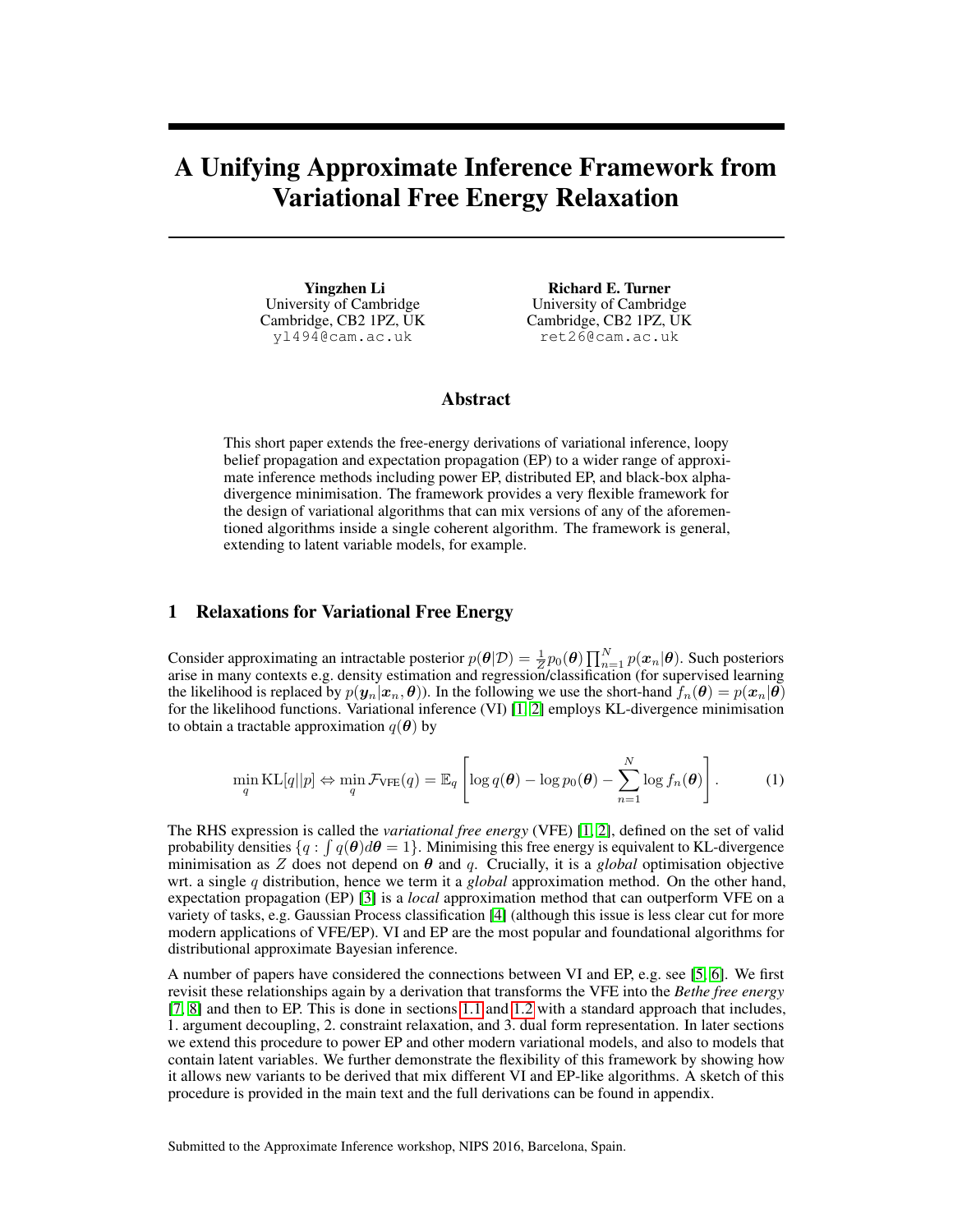# A Unifying Approximate Inference Framework from Variational Free Energy Relaxation

Yingzhen Li University of Cambridge Cambridge, CB2 1PZ, UK yl494@cam.ac.uk

Richard E. Turner University of Cambridge Cambridge, CB2 1PZ, UK ret26@cam.ac.uk

## Abstract

This short paper extends the free-energy derivations of variational inference, loopy belief propagation and expectation propagation (EP) to a wider range of approximate inference methods including power EP, distributed EP, and black-box alphadivergence minimisation. The framework provides a very flexible framework for the design of variational algorithms that can mix versions of any of the aforementioned algorithms inside a single coherent algorithm. The framework is general, extending to latent variable models, for example.

## 1 Relaxations for Variational Free Energy

Consider approximating an intractable posterior  $p(\theta|\mathcal{D}) = \frac{1}{Z}p_0(\theta)\prod_{n=1}^N p(x_n|\theta)$ . Such posteriors arise in many contexts e.g. density estimation and regression/classification (for supervised learning the likelihood is replaced by  $p(\mathbf{y}_n|\mathbf{x}_n, \theta)$ ). In the following we use the short-hand  $f_n(\theta) = p(\mathbf{x}_n|\theta)$ for the likelihood functions. Variational inference (VI) [\[1,](#page-4-0) [2\]](#page-4-1) employs KL-divergence minimisation to obtain a tractable approximation  $q(\theta)$  by

<span id="page-0-0"></span>
$$
\min_{q} \mathrm{KL}[q||p] \Leftrightarrow \min_{q} \mathcal{F}_{\mathrm{VFE}}(q) = \mathbb{E}_{q} \left[ \log q(\boldsymbol{\theta}) - \log p_0(\boldsymbol{\theta}) - \sum_{n=1}^{N} \log f_n(\boldsymbol{\theta}) \right]. \tag{1}
$$

The RHS expression is called the *variational free energy* (VFE) [\[1,](#page-4-0) [2\]](#page-4-1), defined on the set of valid probability densities  $\{q : \int q(\theta)d\theta = 1\}$ . Minimising this free energy is equivalent to KL-divergence minimisation as Z does not depend on  $\theta$  and  $q$ . Crucially, it is a *global* optimisation objective wrt. a single q distribution, hence we term it a *global* approximation method. On the other hand, expectation propagation (EP) [\[3\]](#page-4-2) is a *local* approximation method that can outperform VFE on a variety of tasks, e.g. Gaussian Process classification [\[4\]](#page-4-3) (although this issue is less clear cut for more modern applications of VFE/EP). VI and EP are the most popular and foundational algorithms for distributional approximate Bayesian inference.

A number of papers have considered the connections between VI and EP, e.g. see [\[5,](#page-4-4) [6\]](#page-4-5). We first revisit these relationships again by a derivation that transforms the VFE into the *Bethe free energy* [\[7,](#page-4-6) [8\]](#page-4-7) and then to EP. This is done in sections [1.1](#page-1-0) and [1.2](#page-1-1) with a standard approach that includes, 1. argument decoupling, 2. constraint relaxation, and 3. dual form representation. In later sections we extend this procedure to power EP and other modern variational models, and also to models that contain latent variables. We further demonstrate the flexibility of this framework by showing how it allows new variants to be derived that mix different VI and EP-like algorithms. A sketch of this procedure is provided in the main text and the full derivations can be found in appendix.

Submitted to the Approximate Inference workshop, NIPS 2016, Barcelona, Spain.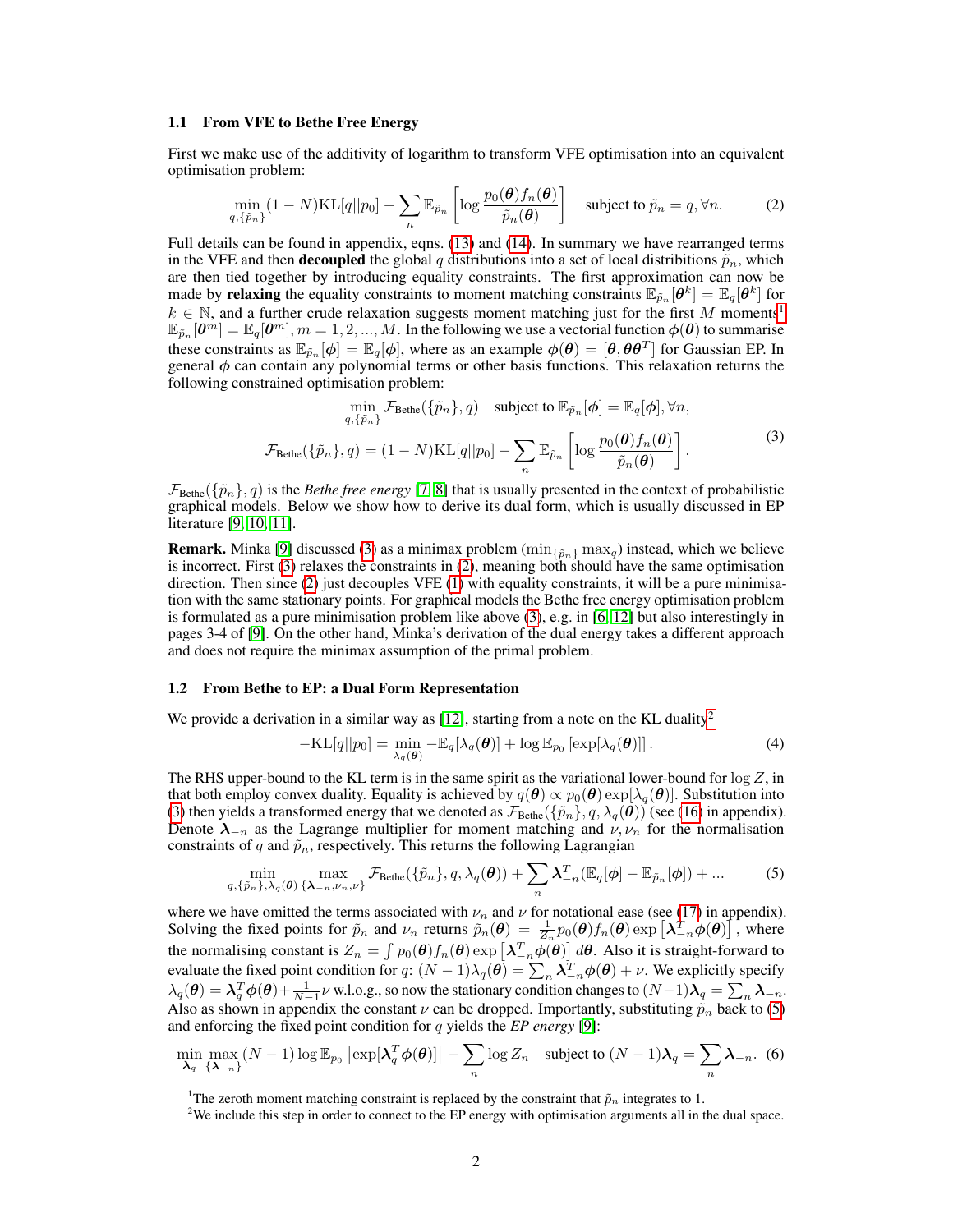#### <span id="page-1-0"></span>1.1 From VFE to Bethe Free Energy

First we make use of the additivity of logarithm to transform VFE optimisation into an equivalent optimisation problem:

<span id="page-1-4"></span>
$$
\min_{q,\{\tilde{p}_n\}} (1 - N)\mathrm{KL}[q||p_0] - \sum_n \mathbb{E}_{\tilde{p}_n} \left[ \log \frac{p_0(\boldsymbol{\theta}) f_n(\boldsymbol{\theta})}{\tilde{p}_n(\boldsymbol{\theta})} \right] \quad \text{subject to } \tilde{p}_n = q, \forall n. \tag{2}
$$

Full details can be found in appendix, eqns. [\(13\)](#page-6-0) and [\(14\)](#page-6-1). In summary we have rearranged terms in the VFE and then **decoupled** the global q distributions into a set of local distribitions  $\tilde{p}_n$ , which are then tied together by introducing equality constraints. The first approximation can now be made by relaxing the equality constraints to moment matching constraints  $\mathbb{E}_{\tilde{p}_n}[\theta^k] = \mathbb{E}_q[\theta^k]$  for  $k \in \mathbb{N}$ , and a further crude relaxation suggests moment matching just for the first M moments<sup>[1](#page-1-2)</sup>  $\mathbb{E}_{\tilde{p}_n}[\theta^m]=\mathbb{E}_q[\theta^m], m=1,2,...,M.$  In the following we use a vectorial function  $\phi(\theta)$  to summarise these constraints as  $\mathbb{E}_{\tilde{p}_n}[\phi] = \mathbb{E}_q[\phi]$ , where as an example  $\phi(\theta) = [\theta, \theta \theta^T]$  for Gaussian EP. In general  $\phi$  can contain any polynomial terms or other basis functions. This relaxation returns the following constrained optimisation problem:

<span id="page-1-3"></span>
$$
\min_{q,\{\tilde{p}_n\}} \mathcal{F}_{\text{Bethe}}(\{\tilde{p}_n\}, q) \quad \text{subject to } \mathbb{E}_{\tilde{p}_n}[\phi] = \mathbb{E}_q[\phi], \forall n,
$$
\n
$$
\mathcal{F}_{\text{Bethe}}(\{\tilde{p}_n\}, q) = (1 - N)\text{KL}[q||p_0] - \sum_n \mathbb{E}_{\tilde{p}_n} \left[ \log \frac{p_0(\theta) f_n(\theta)}{\tilde{p}_n(\theta)} \right].
$$
\n(3)

 $\mathcal{F}_{\text{Bethe}}(\{\tilde{p}_n\}, q)$  is the *Bethe free energy* [\[7,](#page-4-6) [8\]](#page-4-7) that is usually presented in the context of probabilistic graphical models. Below we show how to derive its dual form, which is usually discussed in EP literature [\[9,](#page-4-8) [10,](#page-4-9) [11\]](#page-4-10).

**Remark.** Minka [\[9\]](#page-4-8) discussed [\(3\)](#page-1-3) as a minimax problem ( $\min_{\{\tilde{p}_n\}} \max_q$ ) instead, which we believe is incorrect. First [\(3\)](#page-1-3) relaxes the constraints in [\(2\)](#page-1-4), meaning both should have the same optimisation direction. Then since [\(2\)](#page-1-4) just decouples VFE [\(1\)](#page-0-0) with equality constraints, it will be a pure minimisation with the same stationary points. For graphical models the Bethe free energy optimisation problem is formulated as a pure minimisation problem like above [\(3\)](#page-1-3), e.g. in [\[6,](#page-4-5) [12\]](#page-4-11) but also interestingly in pages 3-4 of [\[9\]](#page-4-8). On the other hand, Minka's derivation of the dual energy takes a different approach and does not require the minimax assumption of the primal problem.

#### <span id="page-1-1"></span>1.2 From Bethe to EP: a Dual Form Representation

We provide a derivation in a similar way as  $[12]$ , starting from a note on the KL duality<sup>[2](#page-1-5)</sup>

<span id="page-1-8"></span><span id="page-1-6"></span>
$$
-\mathrm{KL}[q||p_0] = \min_{\lambda_q(\boldsymbol{\theta})} - \mathbb{E}_q[\lambda_q(\boldsymbol{\theta})] + \log \mathbb{E}_{p_0} [\exp[\lambda_q(\boldsymbol{\theta})]] \,. \tag{4}
$$

The RHS upper-bound to the KL term is in the same spirit as the variational lower-bound for  $\log Z$ , in that both employ convex duality. Equality is achieved by  $q(\theta) \propto p_0(\theta) \exp[\lambda_q(\theta)]$ . Substitution into [\(3\)](#page-1-3) then yields a transformed energy that we denoted as  $\mathcal{F}_{\text{Bethe}}(\{\tilde{p}_n\}, q, \lambda_q(\theta))$  (see [\(16\)](#page-6-2) in appendix). Denote  $\lambda_{-n}$  as the Lagrange multiplier for moment matching and  $\nu, \nu_n$  for the normalisation constraints of q and  $\tilde{p}_n$ , respectively. This returns the following Lagrangian

<span id="page-1-7"></span>
$$
\min_{q,\{\tilde{p}_n\},\lambda_q(\boldsymbol{\theta})} \max_{\{\mathbf{\lambda}_{-n},\nu_n,\nu\}} \mathcal{F}_{\text{Bethe}}(\{\tilde{p}_n\},q,\lambda_q(\boldsymbol{\theta})) + \sum_n \boldsymbol{\lambda}_{-n}^T (\mathbb{E}_q[\boldsymbol{\phi}] - \mathbb{E}_{\tilde{p}_n}[\boldsymbol{\phi}]) + \dots \tag{5}
$$

where we have omitted the terms associated with  $\nu_n$  and  $\nu$  for notational ease (see [\(17\)](#page-6-3) in appendix). Solving the fixed points for  $\tilde{p}_n$  and  $\nu_n$  returns  $\tilde{p}_n(\theta) = \frac{1}{Z_n} p_0(\theta) f_n(\theta) \exp \left[ \lambda_{-n}^T \phi(\theta) \right]$ , where the normalising constant is  $Z_n = \int p_0(\theta) f_n(\theta) \exp\left[\lambda_{-n}^T \phi(\theta)\right] d\theta$ . Also it is straight-forward to evaluate the fixed point condition for  $q: (N-1)\lambda_q(\theta) = \sum_n \lambda_{-n}^T \phi(\theta) + \nu$ . We explicitly specify  $\lambda_q(\boldsymbol{\theta}) = \boldsymbol{\lambda}_q^T \boldsymbol{\phi}(\boldsymbol{\theta}) + \frac{1}{N-1} \nu$  w.l.o.g., so now the stationary condition changes to  $(N-1)\boldsymbol{\lambda}_q = \sum_n \boldsymbol{\lambda}_{-n}$ . Also as shown in appendix the constant  $\nu$  can be dropped. Importantly, substituting  $\tilde{p}_n$  back to [\(5\)](#page-1-6) and enforcing the fixed point condition for q yields the *EP energy* [\[9\]](#page-4-8):

$$
\min_{\lambda_q} \max_{\{\lambda_{-n}\}} (N-1) \log \mathbb{E}_{p_0} \left[ \exp[\lambda_q^T \phi(\boldsymbol{\theta})] \right] - \sum_n \log Z_n \quad \text{subject to } (N-1)\lambda_q = \sum_n \lambda_{-n}. \tag{6}
$$

<span id="page-1-2"></span>The zeroth moment matching constraint is replaced by the constraint that  $\tilde{p}_n$  integrates to 1.

<span id="page-1-5"></span><sup>&</sup>lt;sup>2</sup>We include this step in order to connect to the EP energy with optimisation arguments all in the dual space.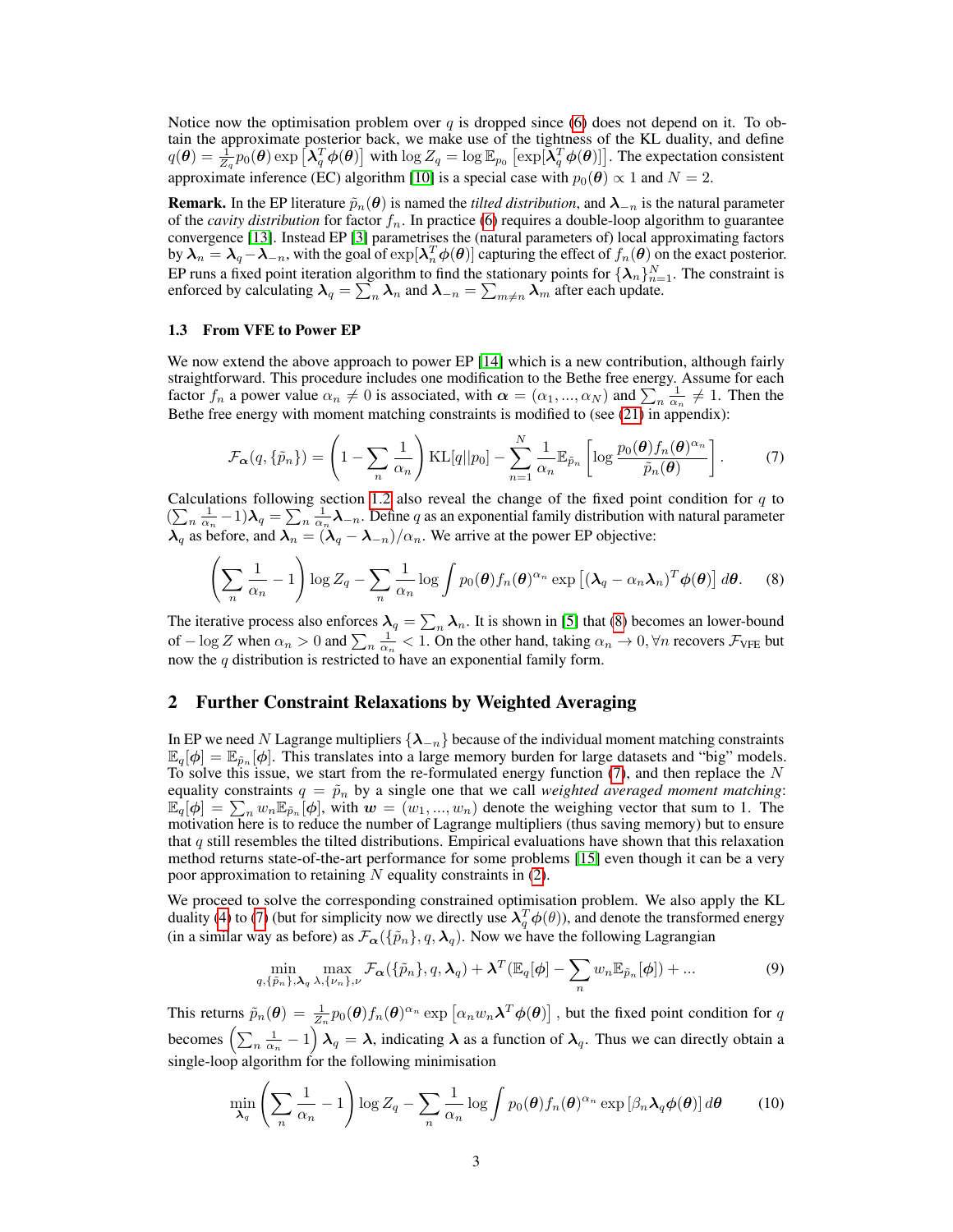Notice now the optimisation problem over q is dropped since [\(6\)](#page-1-7) does not depend on it. To obtain the approximate posterior back, we make use of the tightness of the KL duality, and define  $q(\theta) = \frac{1}{Z_q} p_0(\theta) \exp \left[ \lambda_q^T \phi(\theta) \right]$  with  $\log Z_q = \log \mathbb{E}_{p_0} \left[ \exp[\lambda_q^T \phi(\theta)] \right]$ . The expectation consistent approximate inference (EC) algorithm [\[10\]](#page-4-9) is a special case with  $p_0(\theta) \propto 1$  and  $N = 2$ .

**Remark.** In the EP literature  $\tilde{p}_n(\theta)$  is named the *tilted distribution*, and  $\lambda_{-n}$  is the natural parameter of the *cavity distribution* for factor  $f_n$ . In practice [\(6\)](#page-1-7) requires a double-loop algorithm to guarantee convergence [\[13\]](#page-4-12). Instead EP [\[3\]](#page-4-2) parametrises the (natural parameters of) local approximating factors by  $\lambda_n = \lambda_q - \lambda_{-n}$ , with the goal of  $\exp[\lambda_n^T \phi(\theta)]$  capturing the effect of  $f_n(\theta)$  on the exact posterior. EP runs a fixed point iteration algorithm to find the stationary points for  $\{\lambda_n\}_{n=1}^N$ . The constraint is enforced by calculating  $\bm{\lambda}_q=\sum_n\bm{\lambda}_n$  and  $\bm{\lambda}_{-n}=\sum_{m\neq n}\bm{\lambda}_m$  after each update.

#### <span id="page-2-2"></span>1.3 From VFE to Power EP

We now extend the above approach to power EP [\[14\]](#page-4-13) which is a new contribution, although fairly straightforward. This procedure includes one modification to the Bethe free energy. Assume for each factor  $f_n$  a power value  $\alpha_n \neq 0$  is associated, with  $\alpha = (\alpha_1, ..., \alpha_N)$  and  $\sum_{n=1}^{\infty} \frac{1}{\alpha_n} \neq 1$ . Then the Bethe free energy with moment matching constraints is modified to (see [\(21\)](#page-7-0) in appendix):

<span id="page-2-1"></span><span id="page-2-0"></span>
$$
\mathcal{F}_{\boldsymbol{\alpha}}(q,\{\tilde{p}_n\}) = \left(1 - \sum_n \frac{1}{\alpha_n}\right) \text{KL}[q||p_0] - \sum_{n=1}^N \frac{1}{\alpha_n} \mathbb{E}_{\tilde{p}_n} \left[ \log \frac{p_0(\boldsymbol{\theta}) f_n(\boldsymbol{\theta})^{\alpha_n}}{\tilde{p}_n(\boldsymbol{\theta})} \right].
$$
 (7)

Calculations following section [1.2](#page-1-1) also reveal the change of the fixed point condition for  $q$  to  $(\sum_{n} \frac{1}{\alpha_n} - 1)\lambda_q = \sum_{n} \frac{1}{\alpha_n} \lambda_{-n}$ . Define q as an exponential family distribution with natural parameter  $\lambda_q$  as before, and  $\lambda_n = (\lambda_q - \lambda_{-n})/\alpha_n$ . We arrive at the power EP objective:

$$
\left(\sum_{n}\frac{1}{\alpha_{n}}-1\right)\log Z_{q}-\sum_{n}\frac{1}{\alpha_{n}}\log\int p_{0}(\boldsymbol{\theta})f_{n}(\boldsymbol{\theta})^{\alpha_{n}}\exp\left[(\boldsymbol{\lambda}_{q}-\alpha_{n}\boldsymbol{\lambda}_{n})^{T}\boldsymbol{\phi}(\boldsymbol{\theta})\right]d\boldsymbol{\theta}.
$$
 (8)

The iterative process also enforces  $\lambda_q = \sum_n \lambda_n$ . It is shown in [\[5\]](#page-4-4) that [\(8\)](#page-2-0) becomes an lower-bound of  $-\log Z$  when  $\alpha_n > 0$  and  $\sum_n \frac{1}{\alpha_n} < 1$ . On the other hand, taking  $\alpha_n \to 0$ ,  $\forall n$  recovers  $\mathcal{F}_{\text{VFE}}$  but now the  $q$  distribution is restricted to have an exponential family form.

## 2 Further Constraint Relaxations by Weighted Averaging

In EP we need N Lagrange multipliers  $\{\lambda_{-n}\}$  because of the individual moment matching constraints  $\mathbb{E}_q[\phi] = \mathbb{E}_{\tilde{p}_n}[\phi]$ . This translates into a large memory burden for large datasets and "big" models. To solve this issue, we start from the re-formulated energy function  $(7)$ , and then replace the N equality constraints  $q = \tilde{p}_n$  by a single one that we call *weighted averaged moment matching*:  $\mathbb{E}_q[\phi] = \sum_n w_n \mathbb{E}_{\tilde{p}_n}[\phi]$ , with  $w = (w_1, ..., w_n)$  denote the weighing vector that sum to 1. The motivation here is to reduce the number of Lagrange multipliers (thus saving memory) but to ensure that q still resembles the tilted distributions. Empirical evaluations have shown that this relaxation method returns state-of-the-art performance for some problems [\[15\]](#page-4-14) even though it can be a very poor approximation to retaining  $N$  equality constraints in  $(2)$ .

We proceed to solve the corresponding constrained optimisation problem. We also apply the KL duality [\(4\)](#page-1-8) to [\(7\)](#page-2-1) (but for simplicity now we directly use  $\lambda_q^T \phi(\theta)$ ), and denote the transformed energy (in a similar way as before) as  $\mathcal{F}_{\alpha}(\{\tilde{p}_n\}, q, \lambda_q)$ . Now we have the following Lagrangian

$$
\min_{q,\{\tilde{p}_n\},\boldsymbol{\lambda}_q\,\lambda,\{\nu_n\},\nu} \max_{\mathcal{F}_{\boldsymbol{\alpha}}} \mathcal{F}_{\boldsymbol{\alpha}}(\{\tilde{p}_n\},q,\boldsymbol{\lambda}_q) + \boldsymbol{\lambda}^T (\mathbb{E}_q[\boldsymbol{\phi}] - \sum_n w_n \mathbb{E}_{\tilde{p}_n}[\boldsymbol{\phi}]) + \dots
$$
\n(9)

This returns  $\tilde{p}_n(\theta) = \frac{1}{Z_n} p_0(\theta) f_n(\theta)^{\alpha_n} \exp \left[\alpha_n w_n \lambda^T \phi(\theta)\right]$ , but the fixed point condition for q becomes  $\left(\sum_{n}\frac{1}{\alpha_n}-1\right)\lambda_q=\lambda$ , indicating  $\lambda$  as a function of  $\lambda_q$ . Thus we can directly obtain a single-loop algorithm for the following minimisation

$$
\min_{\boldsymbol{\lambda}_q} \left( \sum_n \frac{1}{\alpha_n} - 1 \right) \log Z_q - \sum_n \frac{1}{\alpha_n} \log \int p_0(\boldsymbol{\theta}) f_n(\boldsymbol{\theta})^{\alpha_n} \exp \left[ \beta_n \boldsymbol{\lambda}_q \boldsymbol{\phi}(\boldsymbol{\theta}) \right] d\boldsymbol{\theta} \tag{10}
$$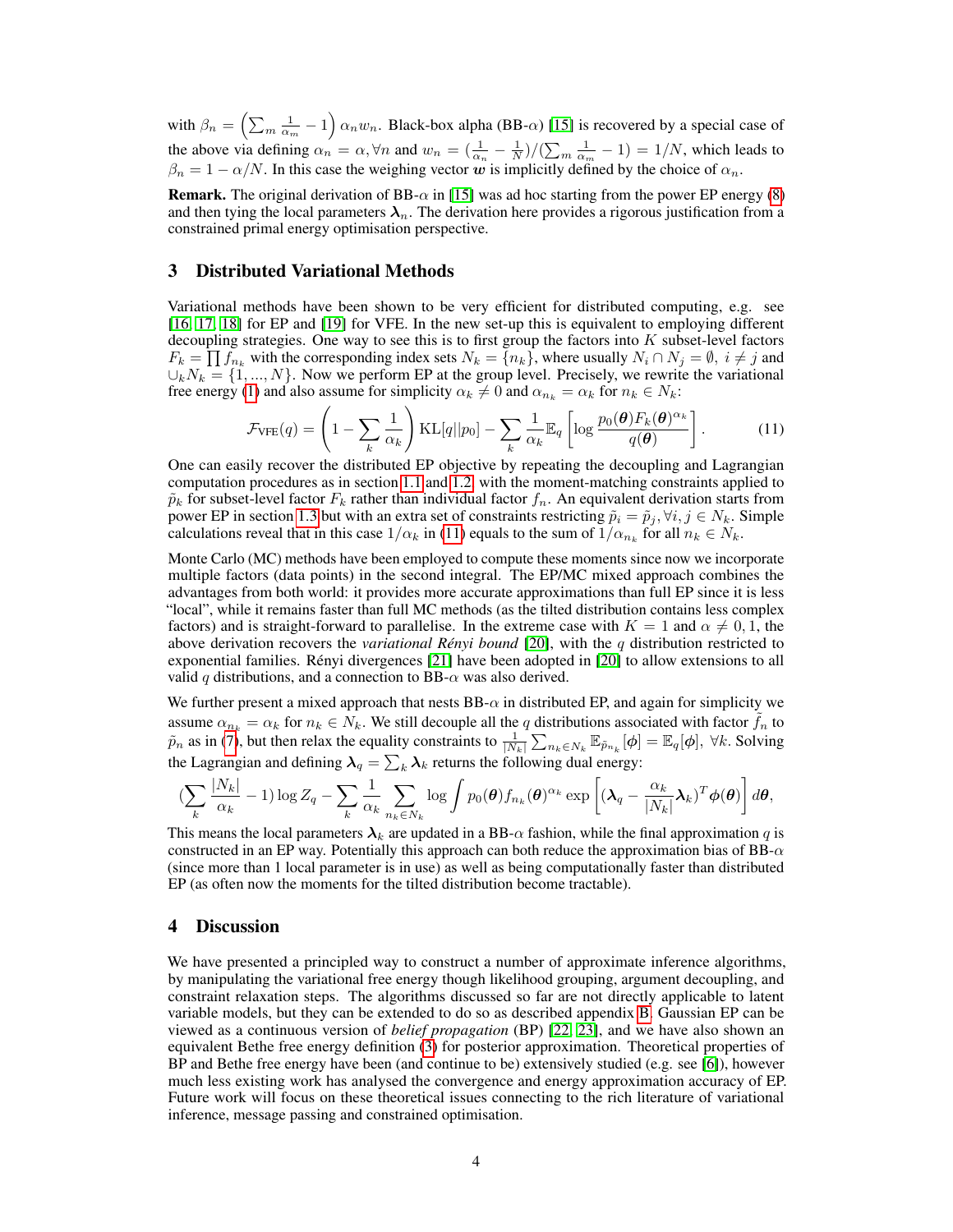with  $\beta_n = \left(\sum_m \frac{1}{\alpha_m} - 1\right) \alpha_n w_n$ . Black-box alpha (BB- $\alpha$ ) [\[15\]](#page-4-14) is recovered by a special case of the above via defining  $\alpha_n = \alpha, \forall n$  and  $w_n = (\frac{1}{\alpha_n} - \frac{1}{N})/(\sum_m \frac{1}{\alpha_m} - 1) = 1/N$ , which leads to  $\beta_n = 1 - \alpha/N$ . In this case the weighing vector w is implicitly defined by the choice of  $\alpha_n$ .

**Remark.** The original derivation of BB- $\alpha$  in [\[15\]](#page-4-14) was ad hoc starting from the power EP energy [\(8\)](#page-2-0) and then tying the local parameters  $\lambda_n$ . The derivation here provides a rigorous justification from a constrained primal energy optimisation perspective.

## 3 Distributed Variational Methods

Variational methods have been shown to be very efficient for distributed computing, e.g. see [\[16,](#page-4-15) [17,](#page-4-16) [18\]](#page-4-17) for EP and [\[19\]](#page-4-18) for VFE. In the new set-up this is equivalent to employing different decoupling strategies. One way to see this is to first group the factors into  $K$  subset-level factors  $F_k = \prod f_{n_k}$  with the corresponding index sets  $N_k = \{n_k\}$ , where usually  $N_i \cap N_j = \emptyset$ ,  $i \neq j$  and  $\cup_k N_k = \{1, ..., N\}$ . Now we perform EP at the group level. Precisely, we rewrite the variational free energy [\(1\)](#page-0-0) and also assume for simplicity  $\alpha_k \neq 0$  and  $\alpha_{n_k} = \alpha_k$  for  $n_k \in N_k$ :

<span id="page-3-0"></span>
$$
\mathcal{F}_{\text{VFE}}(q) = \left(1 - \sum_{k} \frac{1}{\alpha_k}\right) \text{KL}[q||p_0] - \sum_{k} \frac{1}{\alpha_k} \mathbb{E}_q \left[ \log \frac{p_0(\boldsymbol{\theta}) F_k(\boldsymbol{\theta})^{\alpha_k}}{q(\boldsymbol{\theta})} \right].
$$
 (11)

One can easily recover the distributed EP objective by repeating the decoupling and Lagrangian computation procedures as in section [1.1](#page-1-0) and [1.2,](#page-1-1) with the moment-matching constraints applied to  $\tilde{p}_k$  for subset-level factor  $F_k$  rather than individual factor  $f_n$ . An equivalent derivation starts from power EP in section [1.3](#page-2-2) but with an extra set of constraints restricting  $\tilde{p}_i = \tilde{p}_j, \forall i, j \in N_k$ . Simple calculations reveal that in this case  $1/\alpha_k$  in [\(11\)](#page-3-0) equals to the sum of  $1/\alpha_{n_k}$  for all  $n_k \in N_k$ .

Monte Carlo (MC) methods have been employed to compute these moments since now we incorporate multiple factors (data points) in the second integral. The EP/MC mixed approach combines the advantages from both world: it provides more accurate approximations than full EP since it is less "local", while it remains faster than full MC methods (as the tilted distribution contains less complex factors) and is straight-forward to parallelise. In the extreme case with  $K = 1$  and  $\alpha \neq 0, 1$ , the above derivation recovers the *variational Rényi bound* [\[20\]](#page-4-19), with the q distribution restricted to exponential families. Rényi divergences [\[21\]](#page-4-20) have been adopted in [\[20\]](#page-4-19) to allow extensions to all valid q distributions, and a connection to BB- $\alpha$  was also derived.

We further present a mixed approach that nests  $BB-\alpha$  in distributed EP, and again for simplicity we assume  $\alpha_{n_k} = \alpha_k$  for  $n_k \in N_k$ . We still decouple all the q distributions associated with factor  $\tilde{f}_n$  to  $\tilde{p}_n$  as in [\(7\)](#page-2-1), but then relax the equality constraints to  $\frac{1}{|N_k|} \sum_{n_k \in N_k} \mathbb{E}_{\tilde{p}_{n_k}}[\phi] = \mathbb{E}_q[\phi], \forall k$ . Solving the Lagrangian and defining  $\bm{\lambda}_q = \sum_k \bm{\lambda}_k$  returns the following dual energy:

$$
\left(\sum_{k} \frac{|N_k|}{\alpha_k} - 1\right) \log Z_q - \sum_{k} \frac{1}{\alpha_k} \sum_{n_k \in N_k} \log \int p_0(\boldsymbol{\theta}) f_{n_k}(\boldsymbol{\theta})^{\alpha_k} \exp \left[ (\boldsymbol{\lambda}_q - \frac{\alpha_k}{|N_k|} \boldsymbol{\lambda}_k)^T \boldsymbol{\phi}(\boldsymbol{\theta}) \right] d\boldsymbol{\theta},
$$

This means the local parameters  $\lambda_k$  are updated in a BB- $\alpha$  fashion, while the final approximation q is constructed in an EP way. Potentially this approach can both reduce the approximation bias of  $BB-\alpha$ (since more than 1 local parameter is in use) as well as being computationally faster than distributed EP (as often now the moments for the tilted distribution become tractable).

## 4 Discussion

We have presented a principled way to construct a number of approximate inference algorithms, by manipulating the variational free energy though likelihood grouping, argument decoupling, and constraint relaxation steps. The algorithms discussed so far are not directly applicable to latent variable models, but they can be extended to do so as described appendix [B.](#page-7-1) Gaussian EP can be viewed as a continuous version of *belief propagation* (BP) [\[22,](#page-4-21) [23\]](#page-4-22), and we have also shown an equivalent Bethe free energy definition [\(3\)](#page-1-3) for posterior approximation. Theoretical properties of BP and Bethe free energy have been (and continue to be) extensively studied (e.g. see [\[6\]](#page-4-5)), however much less existing work has analysed the convergence and energy approximation accuracy of EP. Future work will focus on these theoretical issues connecting to the rich literature of variational inference, message passing and constrained optimisation.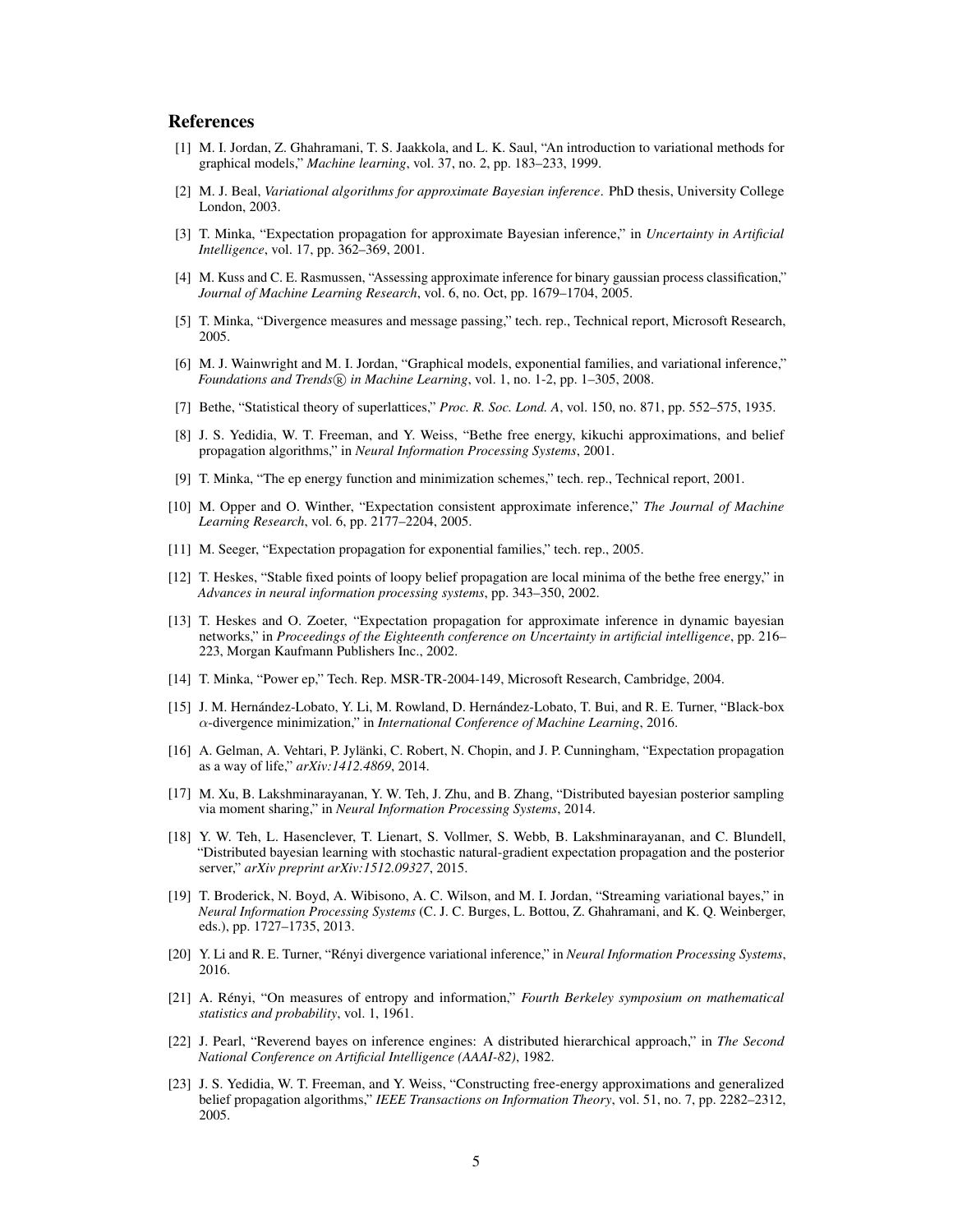## References

- <span id="page-4-0"></span>[1] M. I. Jordan, Z. Ghahramani, T. S. Jaakkola, and L. K. Saul, "An introduction to variational methods for graphical models," *Machine learning*, vol. 37, no. 2, pp. 183–233, 1999.
- <span id="page-4-1"></span>[2] M. J. Beal, *Variational algorithms for approximate Bayesian inference*. PhD thesis, University College London, 2003.
- <span id="page-4-2"></span>[3] T. Minka, "Expectation propagation for approximate Bayesian inference," in *Uncertainty in Artificial Intelligence*, vol. 17, pp. 362–369, 2001.
- <span id="page-4-3"></span>[4] M. Kuss and C. E. Rasmussen, "Assessing approximate inference for binary gaussian process classification," *Journal of Machine Learning Research*, vol. 6, no. Oct, pp. 1679–1704, 2005.
- <span id="page-4-4"></span>[5] T. Minka, "Divergence measures and message passing," tech. rep., Technical report, Microsoft Research, 2005.
- <span id="page-4-5"></span>[6] M. J. Wainwright and M. I. Jordan, "Graphical models, exponential families, and variational inference," *Foundations and Trends* $(\overline{R})$  *in Machine Learning*, vol. 1, no. 1-2, pp. 1–305, 2008.
- <span id="page-4-6"></span>[7] Bethe, "Statistical theory of superlattices," *Proc. R. Soc. Lond. A*, vol. 150, no. 871, pp. 552–575, 1935.
- <span id="page-4-7"></span>[8] J. S. Yedidia, W. T. Freeman, and Y. Weiss, "Bethe free energy, kikuchi approximations, and belief propagation algorithms," in *Neural Information Processing Systems*, 2001.
- <span id="page-4-8"></span>[9] T. Minka, "The ep energy function and minimization schemes," tech. rep., Technical report, 2001.
- <span id="page-4-9"></span>[10] M. Opper and O. Winther, "Expectation consistent approximate inference," *The Journal of Machine Learning Research*, vol. 6, pp. 2177–2204, 2005.
- <span id="page-4-10"></span>[11] M. Seeger, "Expectation propagation for exponential families," tech. rep., 2005.
- <span id="page-4-11"></span>[12] T. Heskes, "Stable fixed points of loopy belief propagation are local minima of the bethe free energy," in *Advances in neural information processing systems*, pp. 343–350, 2002.
- <span id="page-4-12"></span>[13] T. Heskes and O. Zoeter, "Expectation propagation for approximate inference in dynamic bayesian networks," in *Proceedings of the Eighteenth conference on Uncertainty in artificial intelligence*, pp. 216– 223, Morgan Kaufmann Publishers Inc., 2002.
- <span id="page-4-13"></span>[14] T. Minka, "Power ep," Tech. Rep. MSR-TR-2004-149, Microsoft Research, Cambridge, 2004.
- <span id="page-4-14"></span>[15] J. M. Hernández-Lobato, Y. Li, M. Rowland, D. Hernández-Lobato, T. Bui, and R. E. Turner, "Black-box α-divergence minimization," in *International Conference of Machine Learning*, 2016.
- <span id="page-4-15"></span>[16] A. Gelman, A. Vehtari, P. Jylänki, C. Robert, N. Chopin, and J. P. Cunningham, "Expectation propagation as a way of life," *arXiv:1412.4869*, 2014.
- <span id="page-4-16"></span>[17] M. Xu, B. Lakshminarayanan, Y. W. Teh, J. Zhu, and B. Zhang, "Distributed bayesian posterior sampling via moment sharing," in *Neural Information Processing Systems*, 2014.
- <span id="page-4-17"></span>[18] Y. W. Teh, L. Hasenclever, T. Lienart, S. Vollmer, S. Webb, B. Lakshminarayanan, and C. Blundell, "Distributed bayesian learning with stochastic natural-gradient expectation propagation and the posterior server," *arXiv preprint arXiv:1512.09327*, 2015.
- <span id="page-4-18"></span>[19] T. Broderick, N. Boyd, A. Wibisono, A. C. Wilson, and M. I. Jordan, "Streaming variational bayes," in *Neural Information Processing Systems* (C. J. C. Burges, L. Bottou, Z. Ghahramani, and K. Q. Weinberger, eds.), pp. 1727–1735, 2013.
- <span id="page-4-19"></span>[20] Y. Li and R. E. Turner, "Rényi divergence variational inference," in *Neural Information Processing Systems*, 2016.
- <span id="page-4-20"></span>[21] A. Rényi, "On measures of entropy and information," *Fourth Berkeley symposium on mathematical statistics and probability*, vol. 1, 1961.
- <span id="page-4-21"></span>[22] J. Pearl, "Reverend bayes on inference engines: A distributed hierarchical approach," in *The Second National Conference on Artificial Intelligence (AAAI-82)*, 1982.
- <span id="page-4-22"></span>[23] J. S. Yedidia, W. T. Freeman, and Y. Weiss, "Constructing free-energy approximations and generalized belief propagation algorithms," *IEEE Transactions on Information Theory*, vol. 51, no. 7, pp. 2282–2312, 2005.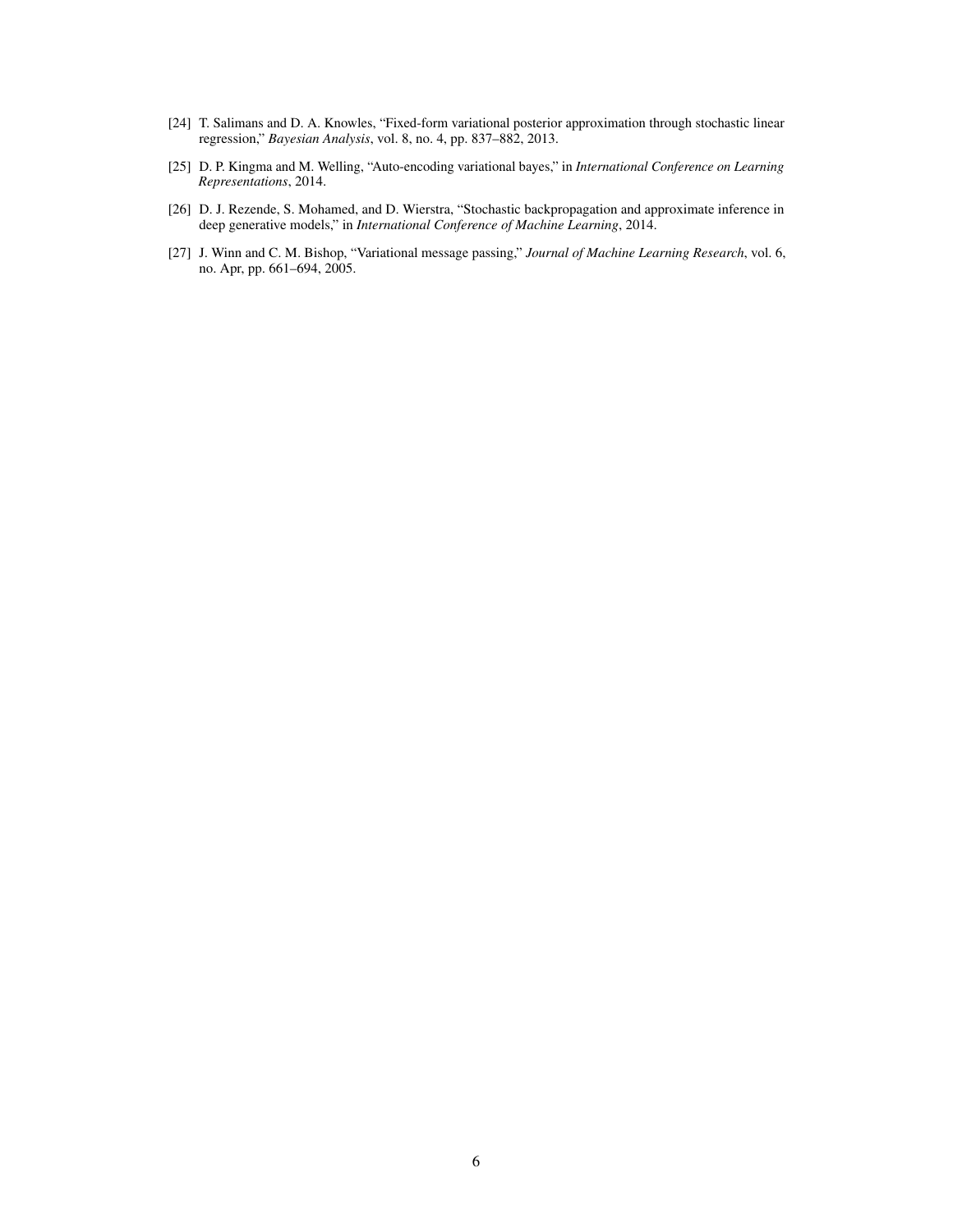- <span id="page-5-0"></span>[24] T. Salimans and D. A. Knowles, "Fixed-form variational posterior approximation through stochastic linear regression," *Bayesian Analysis*, vol. 8, no. 4, pp. 837–882, 2013.
- <span id="page-5-1"></span>[25] D. P. Kingma and M. Welling, "Auto-encoding variational bayes," in *International Conference on Learning Representations*, 2014.
- <span id="page-5-2"></span>[26] D. J. Rezende, S. Mohamed, and D. Wierstra, "Stochastic backpropagation and approximate inference in deep generative models," in *International Conference of Machine Learning*, 2014.
- <span id="page-5-3"></span>[27] J. Winn and C. M. Bishop, "Variational message passing," *Journal of Machine Learning Research*, vol. 6, no. Apr, pp. 661–694, 2005.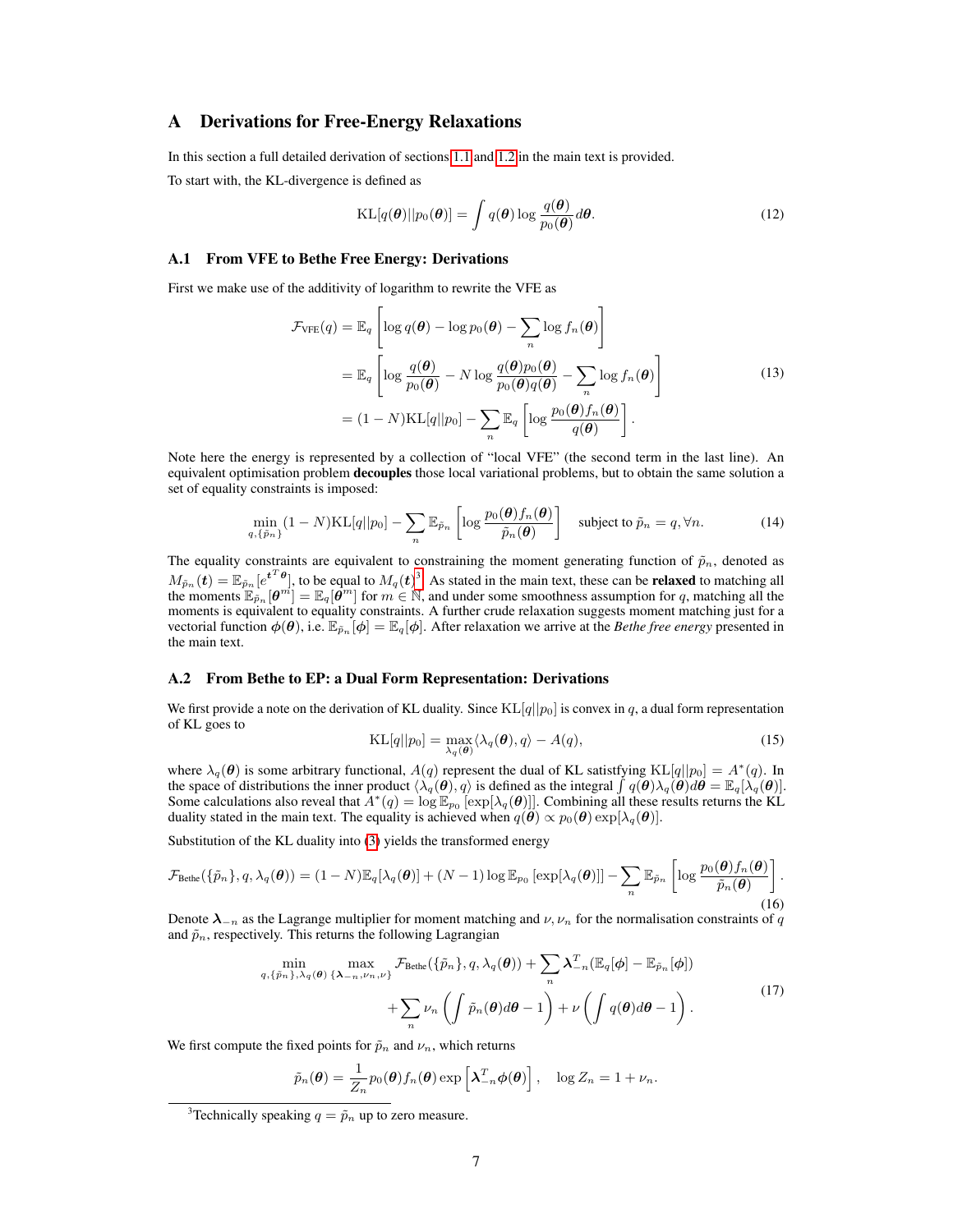## A Derivations for Free-Energy Relaxations

In this section a full detailed derivation of sections [1.1](#page-1-0) and [1.2](#page-1-1) in the main text is provided.

To start with, the KL-divergence is defined as

<span id="page-6-0"></span>
$$
KL[q(\boldsymbol{\theta})||p_0(\boldsymbol{\theta})] = \int q(\boldsymbol{\theta}) \log \frac{q(\boldsymbol{\theta})}{p_0(\boldsymbol{\theta})} d\boldsymbol{\theta}.
$$
 (12)

#### A.1 From VFE to Bethe Free Energy: Derivations

First we make use of the additivity of logarithm to rewrite the VFE as

$$
\mathcal{F}_{\text{VFE}}(q) = \mathbb{E}_{q} \left[ \log q(\boldsymbol{\theta}) - \log p_{0}(\boldsymbol{\theta}) - \sum_{n} \log f_{n}(\boldsymbol{\theta}) \right]
$$
\n
$$
= \mathbb{E}_{q} \left[ \log \frac{q(\boldsymbol{\theta})}{p_{0}(\boldsymbol{\theta})} - N \log \frac{q(\boldsymbol{\theta})p_{0}(\boldsymbol{\theta})}{p_{0}(\boldsymbol{\theta})q(\boldsymbol{\theta})} - \sum_{n} \log f_{n}(\boldsymbol{\theta}) \right]
$$
\n
$$
= (1 - N) \text{KL}[q||p_{0}] - \sum_{n} \mathbb{E}_{q} \left[ \log \frac{p_{0}(\boldsymbol{\theta})f_{n}(\boldsymbol{\theta})}{q(\boldsymbol{\theta})} \right].
$$
\n(13)

Note here the energy is represented by a collection of "local VFE" (the second term in the last line). An equivalent optimisation problem decouples those local variational problems, but to obtain the same solution a set of equality constraints is imposed:

<span id="page-6-1"></span>
$$
\min_{q,\{\tilde{p}_n\}} (1-N)\mathrm{KL}[q||p_0] - \sum_n \mathbb{E}_{\tilde{p}_n} \left[ \log \frac{p_0(\boldsymbol{\theta})f_n(\boldsymbol{\theta})}{\tilde{p}_n(\boldsymbol{\theta})} \right] \quad \text{subject to } \tilde{p}_n = q, \forall n. \tag{14}
$$

The equality constraints are equivalent to constraining the moment generating function of  $\tilde{p}_n$ , denoted as  $M_{\tilde{p}_n}(\boldsymbol{t}) = \mathbb{E}_{\tilde{p}_n} [e^{\boldsymbol{t}^T \boldsymbol{\theta}}]$ , to be equal to  $M_q(\boldsymbol{t})^3$  $M_q(\boldsymbol{t})^3$ . As stated in the main text, these can be **relaxed** to matching all the moments  $\mathbb{E}_{\tilde{p}_n} [\boldsymbol{\theta}^m] = \mathbb{E}_q [\boldsymbol{\theta}^m]$  for  $m \in \mathbb{N}$ , moments is equivalent to equality constraints. A further crude relaxation suggests moment matching just for a vectorial function  $\phi(\theta)$ , i.e.  $\mathbb{E}_{\tilde{p}_n}[\phi] = \mathbb{E}_q[\phi]$ . After relaxation we arrive at the *Bethe free energy* presented in the main text.

#### A.2 From Bethe to EP: a Dual Form Representation: Derivations

We first provide a note on the derivation of KL duality. Since  $KL[q||p_0]$  is convex in q, a dual form representation of KL goes to

<span id="page-6-3"></span><span id="page-6-2"></span>
$$
KL[q||p_0] = \max_{\lambda_q(\boldsymbol{\theta})} \langle \lambda_q(\boldsymbol{\theta}), q \rangle - A(q), \tag{15}
$$

where  $\lambda_q(\theta)$  is some arbitrary functional,  $A(q)$  represent the dual of KL satistfying KL[q||p<sub>0</sub>] =  $A^*(q)$ . In the space of distributions the inner product  $\langle \lambda_q(\theta), q \rangle$  is defined as the integral  $\int q(\theta) \lambda_q(\theta) d\theta = \mathbb{E}_q[\lambda_q(\theta)].$ Some calculations also reveal that  $A^*(q) = \log \mathbb{E}_{p_0}[\exp[\lambda_q(\theta)]]$ . Combining all these results returns the KL duality stated in the main text. The equality is achieved when  $q(\theta) \propto p_0(\theta) \exp[\lambda_q(\theta)].$ 

Substitution of the KL duality into [\(3\)](#page-1-3) yields the transformed energy

$$
\mathcal{F}_{\text{Bethe}}(\{\tilde{p}_n\}, q, \lambda_q(\boldsymbol{\theta})) = (1 - N) \mathbb{E}_q[\lambda_q(\boldsymbol{\theta})] + (N - 1) \log \mathbb{E}_{p_0} \left[ \exp[\lambda_q(\boldsymbol{\theta})] \right] - \sum_n \mathbb{E}_{\tilde{p}_n} \left[ \log \frac{p_0(\boldsymbol{\theta}) f_n(\boldsymbol{\theta})}{\tilde{p}_n(\boldsymbol{\theta})} \right].
$$
\n(16)

Denote  $\lambda_{-n}$  as the Lagrange multiplier for moment matching and  $\nu, \nu_n$  for the normalisation constraints of q and  $\tilde{p}_n$ , respectively. This returns the following Lagrangian

$$
\min_{q, \{\tilde{p}_n\}, \lambda_q(\boldsymbol{\theta})} \max_{\{\boldsymbol{\lambda}_{-n}, \nu_n, \nu\}} \mathcal{F}_{\text{Bethe}}(\{\tilde{p}_n\}, q, \lambda_q(\boldsymbol{\theta})) + \sum_n \boldsymbol{\lambda}_{-n}^T (\mathbb{E}_q[\boldsymbol{\phi}] - \mathbb{E}_{\tilde{p}_n}[\boldsymbol{\phi}]) + \sum_n \nu_n \left( \int \tilde{p}_n(\boldsymbol{\theta}) d\boldsymbol{\theta} - 1 \right) + \nu \left( \int q(\boldsymbol{\theta}) d\boldsymbol{\theta} - 1 \right).
$$
\n(17)

We first compute the fixed points for  $\tilde{p}_n$  and  $\nu_n$ , which returns

$$
\tilde{p}_n(\boldsymbol{\theta}) = \frac{1}{Z_n} p_0(\boldsymbol{\theta}) f_n(\boldsymbol{\theta}) \exp \left[ \boldsymbol{\lambda}_{-n}^T \boldsymbol{\phi}(\boldsymbol{\theta}) \right], \quad \log Z_n = 1 + \nu_n.
$$

<span id="page-6-4"></span><sup>&</sup>lt;sup>3</sup>Technically speaking  $q = \tilde{p}_n$  up to zero measure.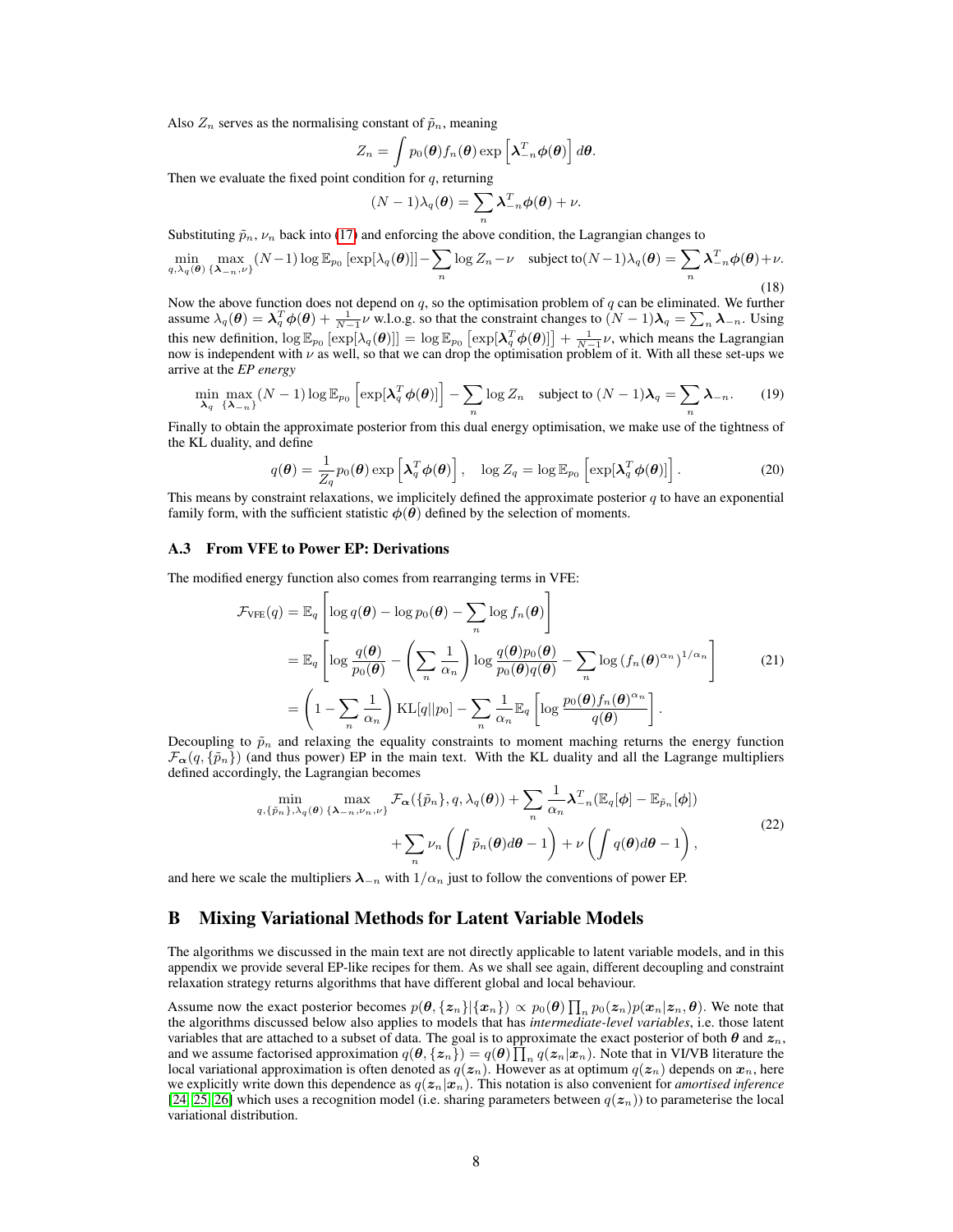Also  $Z_n$  serves as the normalising constant of  $\tilde{p}_n$ , meaning

$$
Z_n = \int p_0(\boldsymbol{\theta}) f_n(\boldsymbol{\theta}) \exp \left[ \boldsymbol{\lambda}_{-n}^T \boldsymbol{\phi}(\boldsymbol{\theta}) \right] d \boldsymbol{\theta}.
$$

Then we evaluate the fixed point condition for  $q$ , returning

$$
(N-1)\lambda_q(\boldsymbol{\theta}) = \sum_n \boldsymbol{\lambda}_{-n}^T \boldsymbol{\phi}(\boldsymbol{\theta}) + \nu.
$$

Substituting  $\tilde{p}_n$ ,  $\nu_n$  back into [\(17\)](#page-6-3) and enforcing the above condition, the Lagrangian changes to

$$
\min_{q,\lambda_q(\theta)} \max_{\{\lambda_{-n},\nu\}} (N-1) \log \mathbb{E}_{p_0} \left[ \exp[\lambda_q(\theta)] \right] - \sum_n \log Z_n - \nu \quad \text{subject to} (N-1)\lambda_q(\theta) = \sum_n \lambda_{-n}^T \phi(\theta) + \nu. \tag{18}
$$

Now the above function does not depend on  $q$ , so the optimisation problem of  $q$  can be eliminated. We further assume  $\lambda_q(\theta) = \lambda_q^T \phi(\theta) + \frac{1}{N-1} \nu$  w.l.o.g. so that the constraint changes to  $(N-1)\lambda_q = \sum_n \lambda_{-n}$ . Using this new definition,  $\log \mathbb{E}_{p_0} [\exp[\lambda_q(\boldsymbol{\theta})]] = \log \mathbb{E}_{p_0} [\exp[\lambda_q^T \boldsymbol{\phi}(\boldsymbol{\theta})]] + \frac{1}{N-1} \nu$ , which means the Lagrangian now is independent with  $\nu$  as well, so that we can drop the optimisation problem of it. With all these set-ups we arrive at the *EP energy*

$$
\min_{\lambda_q} \max_{\{\lambda_{-n}\}} (N-1) \log \mathbb{E}_{p_0} \left[ \exp[\lambda_q^T \phi(\boldsymbol{\theta})] \right] - \sum_n \log Z_n \quad \text{subject to } (N-1)\lambda_q = \sum_n \lambda_{-n}.
$$
 (19)

Finally to obtain the approximate posterior from this dual energy optimisation, we make use of the tightness of the KL duality, and define

<span id="page-7-0"></span>
$$
q(\boldsymbol{\theta}) = \frac{1}{Z_q} p_0(\boldsymbol{\theta}) \exp\left[\boldsymbol{\lambda}_q^T \boldsymbol{\phi}(\boldsymbol{\theta})\right], \quad \log Z_q = \log \mathbb{E}_{p_0} \left[\exp[\boldsymbol{\lambda}_q^T \boldsymbol{\phi}(\boldsymbol{\theta})]\right]. \tag{20}
$$

This means by constraint relaxations, we implicitely defined the approximate posterior  $q$  to have an exponential family form, with the sufficient statistic  $\phi(\tilde{\theta})$  defined by the selection of moments.

#### A.3 From VFE to Power EP: Derivations

The modified energy function also comes from rearranging terms in VFE:

$$
\mathcal{F}_{\text{VFE}}(q) = \mathbb{E}_{q} \left[ \log q(\boldsymbol{\theta}) - \log p_{0}(\boldsymbol{\theta}) - \sum_{n} \log f_{n}(\boldsymbol{\theta}) \right]
$$
\n
$$
= \mathbb{E}_{q} \left[ \log \frac{q(\boldsymbol{\theta})}{p_{0}(\boldsymbol{\theta})} - \left( \sum_{n} \frac{1}{\alpha_{n}} \right) \log \frac{q(\boldsymbol{\theta})p_{0}(\boldsymbol{\theta})}{p_{0}(\boldsymbol{\theta})q(\boldsymbol{\theta})} - \sum_{n} \log \left( f_{n}(\boldsymbol{\theta})^{\alpha_{n}} \right)^{1/\alpha_{n}} \right] \qquad (21)
$$
\n
$$
= \left( 1 - \sum_{n} \frac{1}{\alpha_{n}} \right) \text{KL}[q||p_{0}] - \sum_{n} \frac{1}{\alpha_{n}} \mathbb{E}_{q} \left[ \log \frac{p_{0}(\boldsymbol{\theta})f_{n}(\boldsymbol{\theta})^{\alpha_{n}}}{q(\boldsymbol{\theta})} \right].
$$

Decoupling to  $\tilde{p}_n$  and relaxing the equality constraints to moment maching returns the energy function  $\mathcal{F}_{\alpha}(q, \{\tilde{p}_n\})$  (and thus power) EP in the main text. With the KL duality and all the Lagrange multipliers defined accordingly, the Lagrangian becomes

$$
\min_{q,\{\tilde{p}_n\},\lambda_q(\boldsymbol{\theta})}\max_{\{\lambda_{-n},\nu_n,\nu\}}\mathcal{F}_{\boldsymbol{\alpha}}(\{\tilde{p}_n\},q,\lambda_q(\boldsymbol{\theta})) + \sum_n\frac{1}{\alpha_n}\lambda_{-n}^T(\mathbb{E}_q[\boldsymbol{\phi}] - \mathbb{E}_{\tilde{p}_n}[\boldsymbol{\phi}]) + \sum_n\nu_n\left(\int \tilde{p}_n(\boldsymbol{\theta})d\boldsymbol{\theta} - 1\right) + \nu\left(\int q(\boldsymbol{\theta})d\boldsymbol{\theta} - 1\right),
$$
\n(22)

and here we scale the multipliers  $\lambda_{-n}$  with  $1/\alpha_n$  just to follow the conventions of power EP.

### <span id="page-7-1"></span>B Mixing Variational Methods for Latent Variable Models

The algorithms we discussed in the main text are not directly applicable to latent variable models, and in this appendix we provide several EP-like recipes for them. As we shall see again, different decoupling and constraint relaxation strategy returns algorithms that have different global and local behaviour.

Assume now the exact posterior becomes  $p(\theta, \{z_n\}|\{x_n\}) \propto p_0(\theta) \prod_n p_0(z_n) p(x_n|z_n, \theta)$ . We note that the algorithms discussed below also applies to models that has *intermediate-level variables*, i.e. those latent variables that are attached to a subset of data. The goal is to approximate the exact posterior of both  $\theta$  and  $z_n$ , and we assume factorised approximation  $q(\theta, \{z_n\}) = q(\theta) \prod_n q(z_n | x_n)$ . Note that in VI/VB literature the local variational approximation is often denoted as  $q(z_n)$ . However as at optimum  $q(z_n)$  depends on  $x_n$ , here we explicitly write down this dependence as  $q(z_n|x_n)$ . This notation is also convenient for *amortised inference* [\[24,](#page-5-0) [25,](#page-5-1) [26\]](#page-5-2) which uses a recognition model (i.e. sharing parameters between  $q(z_n)$ ) to parameterise the local variational distribution.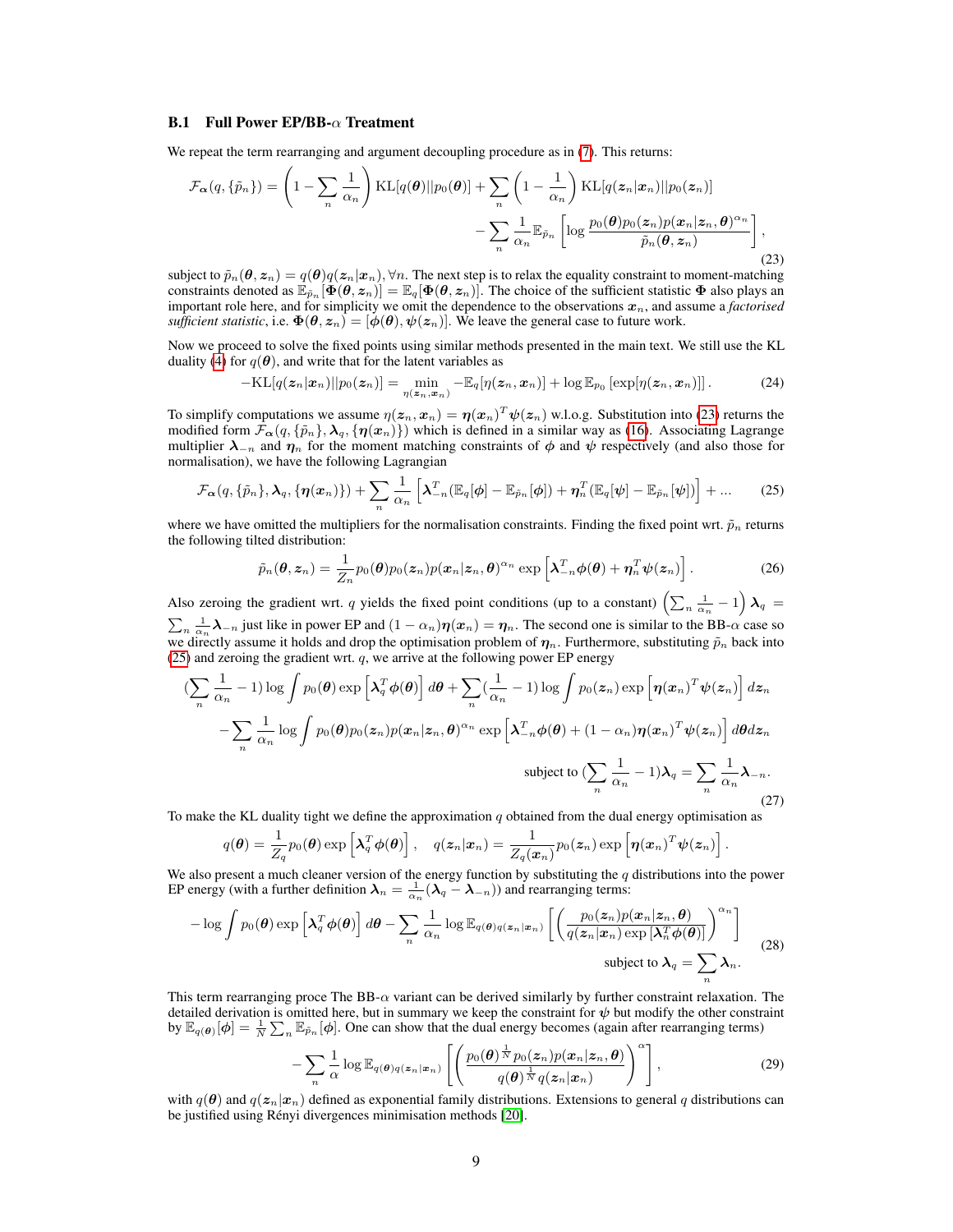#### **B.1** Full Power EP/BB- $\alpha$  Treatment

We repeat the term rearranging and argument decoupling procedure as in  $(7)$ . This returns:

<span id="page-8-0"></span>
$$
\mathcal{F}_{\alpha}(q, \{\tilde{p}_n\}) = \left(1 - \sum_n \frac{1}{\alpha_n}\right) \text{KL}[q(\boldsymbol{\theta})||p_0(\boldsymbol{\theta})] + \sum_n \left(1 - \frac{1}{\alpha_n}\right) \text{KL}[q(z_n|x_n)||p_0(z_n)] - \sum_n \frac{1}{\alpha_n} \mathbb{E}_{\tilde{p}_n} \left[\log \frac{p_0(\boldsymbol{\theta})p_0(z_n)p(\boldsymbol{x}_n|\boldsymbol{z}_n, \boldsymbol{\theta})^{\alpha_n}}{\tilde{p}_n(\boldsymbol{\theta}, \boldsymbol{z}_n)}\right],
$$
\n(23)

subject to  $\tilde{p}_n(\bm{\theta}, \bm{z}_n) = q(\bm{\theta})q(\bm{z}_n|\bm{x}_n), \forall n.$  The next step is to relax the equality constraint to moment-matching constraints denoted as  $\mathbb{E}_{\tilde{p}_n}[\Phi(\theta, z_n)] = \mathbb{E}_q[\Phi(\theta, z_n)]$ . The choice of the sufficient statistic  $\Phi$  also plays an important role here, and for simplicity we omit the dependence to the observations  $x_n$ , and assume a *factorised sufficient statistic*, i.e.  $\Phi(\theta, z_n) = [\phi(\theta), \psi(z_n)]$ . We leave the general case to future work.

Now we proceed to solve the fixed points using similar methods presented in the main text. We still use the KL duality [\(4\)](#page-1-8) for  $q(\theta)$ , and write that for the latent variables as

$$
-\mathrm{KL}[q(\boldsymbol{z}_n|\boldsymbol{x}_n)||p_0(\boldsymbol{z}_n)] = \min_{\eta(\boldsymbol{z}_n,\boldsymbol{x}_n)} -\mathbb{E}_q[\eta(\boldsymbol{z}_n,\boldsymbol{x}_n)] + \log \mathbb{E}_{p_0}\left[\exp[\eta(\boldsymbol{z}_n,\boldsymbol{x}_n)]\right].\tag{24}
$$

To simplify computations we assume  $\eta(z_n, x_n) = \eta(x_n)^T \psi(z_n)$  w.l.o.g. Substitution into [\(23\)](#page-8-0) returns the modified form  $\mathcal{F}_{\alpha}(q, \{\tilde{p}_n\}, \lambda_q, \{\eta(x_n)\})$  which is defined in a similar way as [\(16\)](#page-6-2). Associating Lagrange multiplier  $\lambda_{-n}$  and  $\eta_n$  for the moment matching constraints of  $\phi$  and  $\psi$  respectively (and also those for normalisation), we have the following Lagrangian

$$
\mathcal{F}_{\boldsymbol{\alpha}}(q,\{\tilde{p}_n\},\boldsymbol{\lambda}_q,\{\boldsymbol{\eta}(\boldsymbol{x}_n)\})+\sum_{n}\frac{1}{\alpha_n}\left[\boldsymbol{\lambda}_{-n}^T(\mathbb{E}_q[\boldsymbol{\phi}]-\mathbb{E}_{\tilde{p}_n}[\boldsymbol{\phi}])+\boldsymbol{\eta}_n^T(\mathbb{E}_q[\boldsymbol{\psi}]-\mathbb{E}_{\tilde{p}_n}[\boldsymbol{\psi}])\right]+\dots
$$
 (25)

where we have omitted the multipliers for the normalisation constraints. Finding the fixed point wrt.  $\tilde{p}_n$  returns the following tilted distribution:

<span id="page-8-1"></span>
$$
\tilde{p}_n(\boldsymbol{\theta}, \boldsymbol{z}_n) = \frac{1}{Z_n} p_0(\boldsymbol{\theta}) p_0(\boldsymbol{z}_n) p(\boldsymbol{x}_n | \boldsymbol{z}_n, \boldsymbol{\theta})^{\alpha_n} \exp\left[\boldsymbol{\lambda}_{-n}^T \boldsymbol{\phi}(\boldsymbol{\theta}) + \boldsymbol{\eta}_n^T \boldsymbol{\psi}(\boldsymbol{z}_n)\right]. \tag{26}
$$

Also zeroing the gradient wrt. q yields the fixed point conditions (up to a constant)  $\left(\sum_{n}\frac{1}{\alpha_n}-1\right)\lambda_q=$  $\sum_{n} \frac{1}{\alpha_n} \lambda_{-n}$  just like in power EP and  $(1 - \alpha_n)\eta(x_n) = \eta_n$ . The second one is similar to the BB- $\alpha$  case so we directly assume it holds and drop the optimisation problem of  $\eta_n$ . Furthermore, substituting  $\tilde{p}_n$  back into [\(25\)](#page-8-1) and zeroing the gradient wrt.  $q$ , we arrive at the following power EP energy

$$
\left(\sum_{n} \frac{1}{\alpha_n} - 1\right) \log \int p_0(\theta) \exp \left[\lambda_q^T \phi(\theta)\right] d\theta + \sum_{n} \left(\frac{1}{\alpha_n} - 1\right) \log \int p_0(z_n) \exp \left[\eta(x_n)^T \psi(z_n)\right] dz_n
$$

$$
- \sum_{n} \frac{1}{\alpha_n} \log \int p_0(\theta) p_0(z_n) p(x_n | z_n, \theta)^{\alpha_n} \exp \left[\lambda_{-n}^T \phi(\theta) + (1 - \alpha_n) \eta(x_n)^T \psi(z_n)\right] d\theta dz_n
$$
subject to 
$$
\left(\sum_{n} \frac{1}{\alpha_n} - 1\right) \lambda_q = \sum_{n} \frac{1}{\alpha_n} \lambda_{-n}.
$$
\n(27)

To make the KL duality tight we define the approximation  $q$  obtained from the dual energy optimisation as

$$
q(\boldsymbol{\theta}) = \frac{1}{Z_q} p_0(\boldsymbol{\theta}) \exp \left[ \boldsymbol{\lambda}_q^T \boldsymbol{\phi}(\boldsymbol{\theta}) \right], \quad q(\boldsymbol{z}_n | \boldsymbol{x}_n) = \frac{1}{Z_q(\boldsymbol{x}_n)} p_0(\boldsymbol{z}_n) \exp \left[ \boldsymbol{\eta}(\boldsymbol{x}_n)^T \boldsymbol{\psi}(\boldsymbol{z}_n) \right].
$$

We also present a much cleaner version of the energy function by substituting the  $q$  distributions into the power EP energy (with a further definition  $\lambda_n = \frac{1}{\alpha_n} (\lambda_q - \lambda_{-n})$ ) and rearranging terms:

$$
-\log \int p_0(\boldsymbol{\theta}) \exp \left[ \boldsymbol{\lambda}_q^T \boldsymbol{\phi}(\boldsymbol{\theta}) \right] d\boldsymbol{\theta} - \sum_n \frac{1}{\alpha_n} \log \mathbb{E}_{q(\boldsymbol{\theta})q(\boldsymbol{z}_n|\boldsymbol{x}_n)} \left[ \left( \frac{p_0(\boldsymbol{z}_n)p(\boldsymbol{x}_n|\boldsymbol{z}_n,\boldsymbol{\theta})}{q(\boldsymbol{z}_n|\boldsymbol{x}_n) \exp \left[ \boldsymbol{\lambda}_n^T \boldsymbol{\phi}(\boldsymbol{\theta}) \right]} \right)^{\alpha_n} \right]
$$
\nsubject to  $\boldsymbol{\lambda}_q = \sum_n \boldsymbol{\lambda}_n$ .

\n(28)

This term rearranging proce The BB- $\alpha$  variant can be derived similarly by further constraint relaxation. The detailed derivation is omitted here, but in summary we keep the constraint for  $\psi$  but modify the other constraint by  $\mathbb{E}_{q(\theta)}[\phi] = \frac{1}{N} \sum_{n} \mathbb{E}_{\tilde{p}_n}[\phi]$ . One can show that the dual energy becomes (again after rearranging terms)

$$
-\sum_{n}\frac{1}{\alpha}\log \mathbb{E}_{q(\boldsymbol{\theta})q(\boldsymbol{z}_{n}|\boldsymbol{x}_{n})}\left[\left(\frac{p_{0}(\boldsymbol{\theta})^{\frac{1}{N}}p_{0}(\boldsymbol{z}_{n})p(\boldsymbol{x}_{n}|\boldsymbol{z}_{n},\boldsymbol{\theta})}{q(\boldsymbol{\theta})^{\frac{1}{N}}q(\boldsymbol{z}_{n}|\boldsymbol{x}_{n})}\right)^{\alpha}\right],
$$
\n(29)

with  $q(\theta)$  and  $q(z_n|x_n)$  defined as exponential family distributions. Extensions to general q distributions can be justified using Rényi divergences minimisation methods [\[20\]](#page-4-19).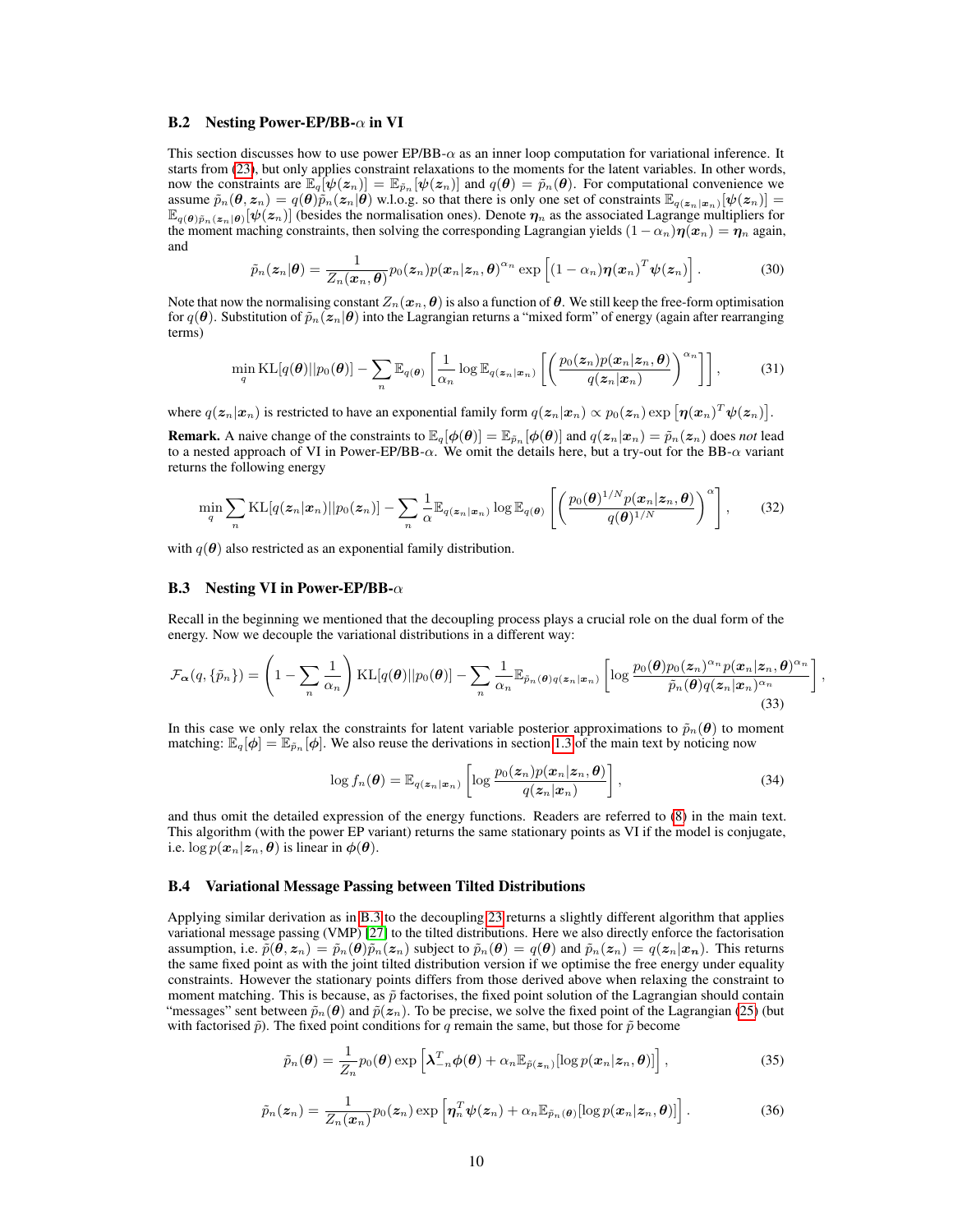#### **B.2** Nesting Power-EP/BB- $\alpha$  in VI

This section discusses how to use power EP/BB- $\alpha$  as an inner loop computation for variational inference. It starts from [\(23\)](#page-8-0), but only applies constraint relaxations to the moments for the latent variables. In other words, now the constraints are  $\mathbb{E}_q[\psi(z_n)] = \mathbb{E}_{\tilde{p}_n}[\psi(z_n)]$  and  $q(\theta) = \tilde{p}_n(\theta)$ . For computational convenience we assume  $\tilde{p}_n(\theta, z_n) = q(\theta)\tilde{p}_n(z_n|\theta)$  w.l.o.g. so that there is only one set of constraints  $\mathbb{E}_{q(z_n|x_n)}[\psi(z_n)] =$  $\mathbb{E}_{q(\theta)\tilde{p}_n(z_n|\theta)}[\psi(z_n)]$  (besides the normalisation ones). Denote  $\eta_n$  as the associated Lagrange multipliers for the moment maching constraints, then solving the corresponding Lagrangian yields  $(1 - \alpha_n)\eta(x_n) = \eta_n$  again, and

$$
\tilde{p}_n(\boldsymbol{z}_n|\boldsymbol{\theta}) = \frac{1}{Z_n(\boldsymbol{x}_n,\boldsymbol{\theta})} p_0(\boldsymbol{z}_n) p(\boldsymbol{x}_n|\boldsymbol{z}_n,\boldsymbol{\theta})^{\alpha_n} \exp\left[ (1-\alpha_n) \boldsymbol{\eta}(\boldsymbol{x}_n)^T \boldsymbol{\psi}(\boldsymbol{z}_n) \right]. \tag{30}
$$

Note that now the normalising constant  $Z_n(x_n, \theta)$  is also a function of  $\theta$ . We still keep the free-form optimisation for  $q(\theta)$ . Substitution of  $\tilde{p}_n(z_n|\theta)$  into the Lagrangian returns a "mixed form" of energy (again after rearranging terms)

$$
\min_{q} \mathrm{KL}[q(\boldsymbol{\theta})||p_0(\boldsymbol{\theta})] - \sum_{n} \mathbb{E}_{q(\boldsymbol{\theta})} \left[ \frac{1}{\alpha_n} \log \mathbb{E}_{q(\boldsymbol{z}_n|\boldsymbol{x}_n)} \left[ \left( \frac{p_0(\boldsymbol{z}_n)p(\boldsymbol{x}_n|\boldsymbol{z}_n,\boldsymbol{\theta})}{q(\boldsymbol{z}_n|\boldsymbol{x}_n)} \right)^{\alpha_n} \right] \right],
$$
(31)

where  $q(\mathbf{z}_n|\mathbf{x}_n)$  is restricted to have an exponential family form  $q(\mathbf{z}_n|\mathbf{x}_n) \propto p_0(\mathbf{z}_n) \exp\left[\bm{\eta}(\mathbf{x}_n)^T \bm{\psi}(\mathbf{z}_n)\right]$ .

**Remark.** A naive change of the constraints to  $\mathbb{E}_q[\phi(\theta)] = \mathbb{E}_{\tilde{p}_n}[\phi(\theta)]$  and  $q(z_n|x_n) = \tilde{p}_n(z_n)$  does *not* lead to a nested approach of VI in Power-EP/BB- $\alpha$ . We omit the details here, but a try-out for the BB- $\alpha$  variant returns the following energy

$$
\min_{q} \sum_{n} \mathrm{KL}[q(\boldsymbol{z}_{n}|\boldsymbol{x}_{n})||p_{0}(\boldsymbol{z}_{n})] - \sum_{n} \frac{1}{\alpha} \mathbb{E}_{q(\boldsymbol{z}_{n}|\boldsymbol{x}_{n})} \log \mathbb{E}_{q(\boldsymbol{\theta})} \left[ \left( \frac{p_{0}(\boldsymbol{\theta})^{1/N} p(\boldsymbol{x}_{n}|\boldsymbol{z}_{n}, \boldsymbol{\theta})}{q(\boldsymbol{\theta})^{1/N}} \right)^{\alpha} \right],
$$
(32)

with  $q(\theta)$  also restricted as an exponential family distribution.

### <span id="page-9-0"></span>**B.3** Nesting VI in Power-EP/BB- $\alpha$

Recall in the beginning we mentioned that the decoupling process plays a crucial role on the dual form of the energy. Now we decouple the variational distributions in a different way:

$$
\mathcal{F}_{\alpha}(q,\{\tilde{p}_n\}) = \left(1 - \sum_n \frac{1}{\alpha_n}\right) \text{KL}[q(\boldsymbol{\theta})||p_0(\boldsymbol{\theta})] - \sum_n \frac{1}{\alpha_n} \mathbb{E}_{\tilde{p}_n(\boldsymbol{\theta})q(\boldsymbol{z}_n|\boldsymbol{x}_n)}\left[\log \frac{p_0(\boldsymbol{\theta})p_0(\boldsymbol{z}_n)^{\alpha_n} p(\boldsymbol{x}_n|\boldsymbol{z}_n, \boldsymbol{\theta})^{\alpha_n}}{\tilde{p}_n(\boldsymbol{\theta})q(\boldsymbol{z}_n|\boldsymbol{x}_n)^{\alpha_n}}\right]
$$
(33)

In this case we only relax the constraints for latent variable posterior approximations to  $\tilde{p}_n(\theta)$  to moment matching:  $\mathbb{E}_q[\phi] = \mathbb{E}_{\tilde{p}_n}[\phi]$ . We also reuse the derivations in section [1.3](#page-2-2) of the main text by noticing now

$$
\log f_n(\boldsymbol{\theta}) = \mathbb{E}_{q(\boldsymbol{z}_n|\boldsymbol{x}_n)} \left[ \log \frac{p_0(\boldsymbol{z}_n) p(\boldsymbol{x}_n|\boldsymbol{z}_n, \boldsymbol{\theta})}{q(\boldsymbol{z}_n|\boldsymbol{x}_n)} \right],
$$
\n(34)

,

and thus omit the detailed expression of the energy functions. Readers are referred to [\(8\)](#page-2-0) in the main text. This algorithm (with the power EP variant) returns the same stationary points as VI if the model is conjugate, i.e.  $\log p(\mathbf{x}_n|\mathbf{z}_n, \theta)$  is linear in  $\phi(\theta)$ .

#### B.4 Variational Message Passing between Tilted Distributions

Applying similar derivation as in [B.3](#page-9-0) to the decoupling [23](#page-8-0) returns a slightly different algorithm that applies variational message passing (VMP) [\[27\]](#page-5-3) to the tilted distributions. Here we also directly enforce the factorisation assumption, i.e.  $\tilde{p}(\hat{\theta}, z_n) = \tilde{p}_n(\theta)\tilde{p}_n(z_n)$  subject to  $\tilde{p}_n(\theta) = q(\theta)$  and  $\tilde{p}_n(z_n) = q(z_n|x_n)$ . This returns the same fixed point as with the joint tilted distribution version if we optimise the free energy under equality constraints. However the stationary points differs from those derived above when relaxing the constraint to moment matching. This is because, as  $\tilde{p}$  factorises, the fixed point solution of the Lagrangian should contain "messages" sent between  $\tilde{p}_n(\theta)$  and  $\tilde{p}(z_n)$ . To be precise, we solve the fixed point of the Lagrangian [\(25\)](#page-8-1) (but with factorised  $\tilde{p}$ ). The fixed point conditions for q remain the same, but those for  $\tilde{p}$  become

$$
\tilde{p}_n(\boldsymbol{\theta}) = \frac{1}{Z_n} p_0(\boldsymbol{\theta}) \exp \left[ \boldsymbol{\lambda}_{-n}^T \boldsymbol{\phi}(\boldsymbol{\theta}) + \alpha_n \mathbb{E}_{\tilde{p}(\boldsymbol{z}_n)} [\log p(\boldsymbol{x}_n | \boldsymbol{z}_n, \boldsymbol{\theta})] \right],
$$
\n(35)

$$
\tilde{p}_n(\boldsymbol{z}_n) = \frac{1}{Z_n(\boldsymbol{x}_n)} p_0(\boldsymbol{z}_n) \exp\left[\boldsymbol{\eta}_n^T \boldsymbol{\psi}(\boldsymbol{z}_n) + \alpha_n \mathbb{E}_{\tilde{p}_n(\boldsymbol{\theta})} [\log p(\boldsymbol{x}_n | \boldsymbol{z}_n, \boldsymbol{\theta})] \right]. \tag{36}
$$